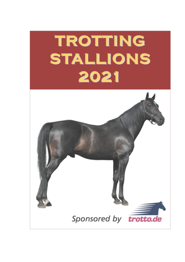# **TROTTING STALLIONS** 2021

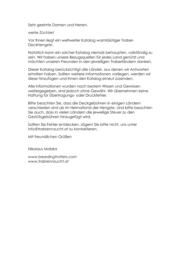Sehr geehrte Damen und Herren,

werte Züchter!

Vor Ihnen liegt ein weltweiter Katalog warmblütiger Traber-Deckhengste.

Natürlich kann ein solcher Katalog niemals behaupten, vollständig zu sein. Wir haben unsere Bezugsquellen für jedes Land genützt und möchten unseren Freunden in den jeweiligen Traberländern danken.

Dieser Katalog berücksichtigt alle Länder, aus denen wir Antworten erhalten haben. Sollten weitere Informationen vorliegen, werden wir diese hinzufügen und Ihnen den Katalog erneut zusenden.

Alle Informationen wurden nach bestem Wissen und Gewissen weitergegeben, sind jedoch ohne Gewähr. Wir übernehmen keine Haftung für Übertragungs- oder Druckfehler.

Bitte beachten Sie, dass die Deckgebühren in einigen Ländern verschieden sind als im Heimatland der Hengste. Und bitte beachten Sie auch, dass in vielen Ländern die jeweilige Steuer zu den Gestütsgebühren hinzugefügt wird.

Sollten Sie Fehler entdecken, zögern Sie bitte nicht, uns unter *info@trabrennzucht.at* zu kontaktieren.

Mit freundlichen Grüßen

Nikolaus Matzka

*www.breedingtrotters.com www.trabrennzucht.at*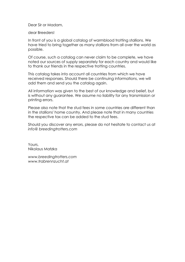Dear Sir or Madam,

dear Breeders!

In front of you is a global catalog of warmblood trotting stallions. We have tried to bring together as many stallions from all over the world as possible.

Of course, such a catalog can never claim to be complete, we have noted our sources of supply separately for each country and would like to thank our friends in the respective trotting countries.

This catalog takes into account all countries from which we have received responses. Should there be continuing informations, we will add them and send you the catalog again.

All information was given to the best of our knowledge and belief, but is without any guarantee. We assume no liability for any transmission or printing errors.

Please also note that the stud fees in some countries are different than in the stallions' home country. And please note that in many countries the respective tax can be added to the stud fees.

Should you discover any errors, please do not hesitate to contact us at *info@ breedingtrotters.com*

Yours, Nikolaus Matzka

*www.breedingtrotters.com www.trabrennzucht.at*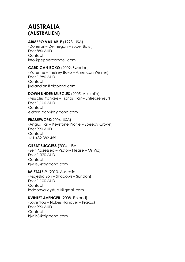# **AUSTRALIA (AUSTRALIEN)**

# **ARMBRO VARIABLE** (1998, USA)

(Donerail – Delmegan – Super Bowl) Fee: 880 AUD Contact: info@peppercorndell.com

# **CARDIGAN BOKO** (2009, Sweden)

(Varenne – Thelsey Boko – American Winner) Fee: 1.980 AUD Contact: judiandian@bigpond.com

# **DOWN UNDER MUSCLES** (2005, Australia)

(Muscles Yankee – Fionas Flair – Entrepreneur) Fee: 1.100 AUD Contact: eldarin.park@bigpond.com

# **FRAMEWORK**(2004, USA)

(Angus Hall – Keystone Profile – Speedy Crown) Fee: 990 AUD Contact: +61 432 382 459

# **GREAT SUCCESS** (2004, USA)

(Self Possessed – Victory Please – Mr Vic) Fee: 1.320 AUD Contact: kjwills8@bigpond.com

# **IM STATELY** (2010, Australia)

(Majestic Son – Shadows – Sundon) Fee: 1.100 AUD Contact: loddonvalleystud1@gmail.com

**KVINTET AVENGER** (2008, Finland) (Love You – Nobes Hanover – Prakas) Fee: 990 AUD Contact: kjwills8@bigpond.com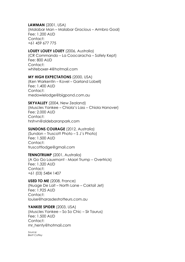# **LAWMAN** (2001, USA)

(Malabar Man – Malabar Gracious – Armbro Goal) Fee: 1.200 AUD Contact: +61 459 677 775

# **LOUEY LOUEY LOUEY** (2006, Australia)

(CR Commando – La Coocaracha – Safely Kept) Fee: 800 AUD Contact: whiteboxer-4@hotmail.com

#### **MY HIGH EXPECTATIONS** (2000, USA)

(Ken Warkentin – Kovel – Garland Lobell) Fee: 1.400 AUD Contact<sup>.</sup> medowielodge@bigpond.com.au

#### **SKYVALLEY** (2004, New Zealand)

(Muscles Yankee – Chiola's Lass – Chiola Hanover) Fee: 2.000 AUD Contact: hrshvn@aldebaranpark.com

#### **SUNDONS COURAGE** (2012, Australia)

(Sundon – Truscott Photo – S J´s Photo) Fee: 1.500 AUD Contact: truscottlodge@gmail.com

#### **TENNOTRUMP** (2001, Australia)

(A Go Go Lauxmont - Maori Trump – Overtrick) Fee: 1.320 AUD Contact: +61 (03) 5484 1407

**USED TO ME** (2008, France) (Nuage De Lait – North Lane – Coktail Jet) Fee: 1.925 AUD Contact: louise@harasdestrotteurs.com.au

#### **YANKEE SPIDER** (2003, USA)

(Muscles Yankee – So So Chic – Sir Taurus) Fee: 1.500 AUD Contact: mr\_henty@hotmail.com

*Source: Brett Coffey*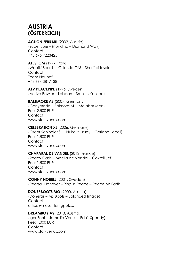# **AUSTRIA (ÖSTERREICH)**

# **ACTION FERRARI** (2002, Austria)

(Super Joie – Mondina – Diamond Way) Contact: +43 676 7223425

**ALESI OM** (1997, Italy)

(Waikiki Beach – Ortensia OM – Sharif di Iesolo) Contact: Team Neuhof +43 664 3817138

**ALV PEACEPIPE** (1996, Sweden) (Active Bowler – Lebban – Smokin Yankee)

**BALTIMORE AS** (2007, Germany) (Ganymede – Balmoral SL – Malabar Man) Fee: 2.500 EUR Contact: www.stall-venus.com

**CELEBRATION XL** (2006, Germany) (Oscar Schindler SL – Nuke It Linsay – Garland Lobell) Fee: 1.500 EUR Contact: www.stall-venus.com

# **CHAPARAL DE VANDEL** (2012, France) (Ready Cash – Maelia de Vandel – Coktail Jet)

Fee: 1.500 EUR Contact: www.stall-venus.com

**CONNY NOBELL** (2001, Sweden) (Pearsall Hanover – Ring in Peace – Peace on Earth)

**DONERBOOTS MO** (2000, Austria) (Donerail – MS Boots – Balanced Image) Contact: office@moser-fertigputz.at

**DREAMBOY AS** (2013, Austria) (Igor Font – Jamellia Venus – Edu's Speedy) Fee: 1.000 EUR Contact: www.stall-venus.com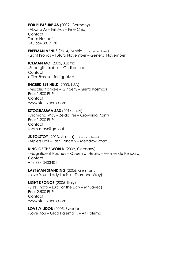**FOR PLEASURE AS** (2009, Germany)

(Abano As – Frill Aas – Pine Chip) Contact: Team Neuhof +43 664 3817138

**FREEMAN VENUS** (2014, Austria) – (*to be confirmed)* (Light Kronos – Futura November – General November)

**ICEMAN MO** (2005, Austria) (Supergill – Irabell – Gridiron Lad) Contact: office@moser-fertigputz.at

#### **INCREDIBLE HULK** (2000, USA)

(Muscles Yankee – Gingerly – Sierra Kosmos) Fee: 1.500 EUR Contact: www.stall-venus.com

#### **ISTOGRAMMA SAS** (2014, Italy)

(Diamond Way – Zelda Per – Crowning Point) Fee: 1.200 EUR Contact: team-mayr@gmx.at

**JS TOLSTOY** (2013, Austria) – (*to be confirmed)* (Algiers Hall – Last Dance S – Meadow Road)

**KING OF THE WORLD** (2009, Germany) (Magnificent Rodney – Queen of Hearts – Hermes de Pericard) Contact: +43 664 3403401

**LAST MAN STANDING** (2006, Germany) (Love You – Lady Louise – Diamond Way)

**LIGHT KRONOS** (2005, Italy) (S J's Photo – Luck of the Day – Mr Lavec) Fee: 2.500 EUR Contact: www.stall-venus.com

**LOVELY LIDOB** (2005, Sweden) (Love You – Glad Palema T. – Alf Palema)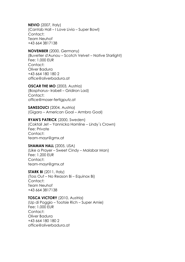**NEVIO** (2007, Italy) (Cantab Hall – I Love Livia – Super Bowl) Contact: Team Neuhof +43 664 3817138

# **NOVEMBER** (2000, Germany)

(Buvetier d'Aunou – Scotch Velvet – Native Starlight) Fee: 1.000 EUR Contact: Oliver Badura +43 664 180 180 2 office@oliverbadura.at

#### **OSCAR THE MO** (2003, Austria)

(Bosphorus– Irabell – Gridiron Lad) Contact: office@moser-fertigputz.at

**SANSSOUCI** (2004, Austria) (Gigaro – American Goal – Armbro Goal)

#### **RYAN'S PATRICK** (2000, Sweden)

(Coktail Jet – Yannicka Hornline – Lindy´s Crown) Fee: Private Contact: team-mayr@gmx.at

#### **SHAMAN HALL** (2005, USA)

(Like a Prayer – Sweet Cindy – Malabar Man) Fee: 1.200 EUR Contact: team-mayr@gmx.at

# **STARK BI** (2011, Italy)

(Toss Out – No Reason Bi – Equinox Bi) Contact: Team Neuhof +43 664 3817138

# **TOSCA VICTORY** (2010, Austria)

(Up di Poggio – Tootsie Rich – Super Arnie) Fee: 1.000 EUR Contact: Oliver Badura +43 664 180 180 2 office@oliverbadura.at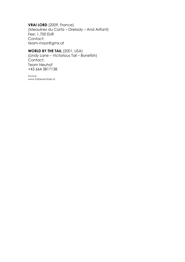# **VRAI LORD** (2009, France)

(Meaulnes du Corta – Orelady – And Arifant) Fee: 1.700 EUR Contact: team-mayr@gmx.at

# **WORLD BY THE TAIL** (2001, USA)

(Lindy Lane – Victorious Tail – Bonefish) Contact: Team Neuhof +43 664 3817138

*Source: www.traberzentrale.at*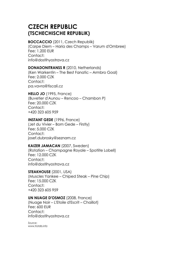# **CZECH REPUBLIC (TSCHECHISCHE REPUBLIK)**

#### **BOCCACCIO** (2011, Czech Republik)

(Carpe Diem – Haria des Champs – Varum d'Ombree) Fee: 1.200 EUR Contact: info@dostihyostrava.cz

# **DONADONITRANSS R** (2010, Netherlands)

(Ken Warkentin – The Best Fanatic – Armbro Goal) Fee: 2.000 CZK Contact: pa.vavra@tiscali.cz

# **HELLO JO** (1995, France)

(Buvetier d'Aunou – Rencoo – Chambon P) Fee: 20.000 CZK Contact: +420 323 605 959

# **INSTANT GEDE** (1996, France)

(Jet du Vivier – Bom Gede – Firstly) Fee: 5.000 CZK Contact: josef.dubrosky@seznam.cz

# **KAIZER JAMACAN** (2007, Sweden)

(Rotation – Champagne Royale – Spotlite Lobell) Fee: 12.000 CZK Contact: info@dostihyostrava.cz

# **STEAKHOUSE** (2001, USA)

(Muscles Yankee – Chiped Steak – Pine Chip) Fee: 15.000 CZK Contact: +420 323 605 959

# **UN NUAGE D'OSMOZ** (2008, France)

(Nuage Noir – L'Etoile d'Escrit – Chaillot) Fee: 600 EUR Contact: info@dostihyostrava.cz

*Source: www.trotdb.info*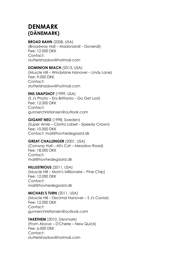# **DENMARK (DÄNEMARK)**

# **BROAD BAHN** (2008, USA)

(Broadway Hall – Madonarail – Donerail) Fee: 12.000 DKK Contact: stutterishadow@hotmail.com

# **DOMINION BEACH** (2013, USA)

(Muscle Hill – Windylane Hanover – Lindy Lane) Fee: 9.000 DKK Contact<sup>.</sup> stutterishadow@hotmail.com

# **ENS SNAPSHOT** (1999, USA)

(S J's Photo – Ens Brittania – Go Get Lost) Fee: 12.000 DKK Contact: gunnerchristiansen@outlook.com

# **GIGANT NEO** (1998, Sweden)

(Super Arnie – Clorita Lobell – Speedy Crown) Fee: 10.000 DKK Contact: mail@hovhedegaard.dk

# **GREAT CHALLENGER** (2001, USA)

(Conway Hall – Ali's Cat – Meadow Road) Fee: 18.000 DKK Contact: mail@hovhedegaard.dk

# **HILLUSTRIOUS** (2011, USA)

(Muscle Hill – Mom's Millionaire – Pine Chip) Fee: 12.000 DKK Contact: mail@hovhedegaard.dk

# **MICHAEL'S TURN** (2011, USA)

(Muscle Hill – Decimal Hanover – S J's Caviar) Fee: 12.000 DKK Contact: gunnerchristiansen@outlook.com

# **TAKETHEM** (2010, Denmark)

(From Above – D'Cherie – New Quick) Fee: 6.000 DKK Contact: stutterishadow@hotmail.com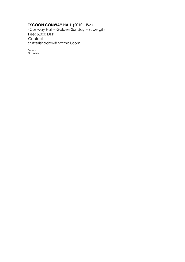# **TYCOON CONWAY HALL** (2010, USA)

(Conway Hall – Golden Sunday – Supergill) Fee: 6.000 DKK Contact: stutterishadow@hotmail.com

*Source: Div. www*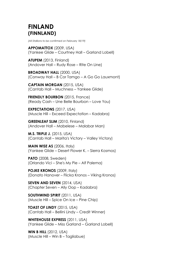# **FINLAND (FINNLAND)**

*(All Stallions to be confirmed on February 18/19)*

**APPOMATTOX** (2009, USA) (Yankee Glide – Courtney Hall – Garland Lobell)

**ATUPEM** (2013, Finland) (Andover Hall – Rudy Rose – Rite On Line)

**BROADWAY HALL** (2000, USA) (Conway Hall – B Cor Tamgo – A Go Go Lauxmont)

**CAPTAIN MORGAN** (2015, USA) (Cantab Hall – Muchness – Yankee Glide)

**FRIENDLY BOURBON** (2015, France) (Ready Cash – Une Belle Bourbon – Love You)

**EXPECTATIONS** (2017, USA) (Muscle Hill – Exceed Expectation – Kadabra)

**GREENLEAF SLIM** (2010, Finland) (Andover Hall – Mabelese – Malabar Man)

**M.S. TRIPLE J.** (2015, USA) (Cantab Hall – Marita's Victory – Valley Victory)

**MAIN WISE AS** (2006, Italy) (Yankee Glide – Desert Flower K. – Sierra Kosmos)

**PATO** (2008, Sweden) (Orlando Vici – She's My Pie – Alf Palema)

**POJKE KRONOS** (2009, Italy) (Donato Hanover – Flicka Kronos – Viking Kronos)

**SEVEN AND SEVEN** (2014, USA) (Chapter Seven – Ally Oop – Kadabra)

**SOUTHWIND SPIRIT** (2011, USA) (Muscle Hill – Spice On Ice – Pine Chip)

**TOAST OF LINDY** (2015, USA) (Cantab Hall – Bellini Lindy – Credit Winner)

**WHITEHOUSE EXPRESS** (2011, USA) (Yankee Glide – Miss Garland – Garland Lobell)

**WIN B HILL** (2012, USA) (Muscle Hill – Win B – Tagliabue)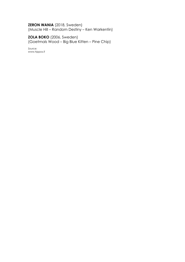# **ZERON WANIA** (2018, Sweden)

(Muscle Hill – Random Destiny – Ken Warkentin)

**ZOLA BOKO** (2006, Sweden) (Goetmals Wood – Big Blue Kitten – Pine Chip)

*Source: www.hippos.fi*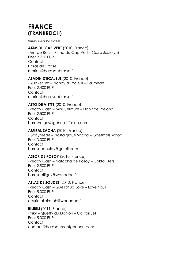# **FRANCE (FRANKREICH)**

*Stallions over 2.000 EUR Fee*

# **AKIM DU CAP VERT** (2010, France)

(First de Retz – Prima du Cap Vert – Cezio Josselyn) Fee: 2.700 EUR Contact: Haras de Brasse marion@harasdebrasse.fr

# **ALADIN D'ECAJEUL** (2010, France)

(Quaker Jet – Nancy d'Ecajeul – Halimede) Fee: 2.400 EUR Contact: marion@harasdebrasse.fr

# **ALTO DE VIETTE** (2010, France)

(Ready Cash – Mini Ceinture – Dahir de Prelong) Fee: 2.500 EUR Contact: harasvaiges@genesdiffusion.com

# **AMIRAL SACHA** (2010, France)

(Ganymede – Nostalgique Sacha – Goetmals Wood) Fee: 3.000 EUR Contact: harasduboulay@gmail.com

# **ASTOR DE ROZOY** (2010, France)

(Ready Cash – Natacha de Rozoy – Coktail Jet) Fee: 2.800 EUR Contact: harasdefligny@wanadoo.fr

# **ATLAS DE JOUDES** (2010, France)

(Ready Cash – Queschua Love – Love You) Fee: 5.000 EUR Contact: ecurie.allaire.ph@wanadoo.fr

**BILIBILI** (2011, France) (Niky – Quetty du Donjon – Coktail Jet) Fee: 5.000 EUR Contact: contact@harasdumontgoubert.com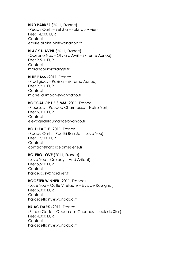**BIRD PARKER** (2011, France) (Ready Cash – Belisha – Fakir du Vivier) Fee: 14.000 EUR Contact: ecurie.allaire.ph@wanadoo.fr

# **BLACK D'AVRIL** (2011, France)

(Oceano Nox – Olivia d'Avril – Extreme Aunou) Fee: 2.500 EUR Contact: marancourt@orange.fr

**BLUE PASS** (2011, France) (Prodigious – Pazina – Extreme Aunou) Fee: 2.200 EUR Contact<sup>.</sup> michel.dumoch@wanadoo.fr

#### **BOCCADOR DE SIMM** (2011, France)

(Rieussec – Poupee Charmeuse – Hetre Vert) Fee: 6.000 EUR Contact: elevagedelaumance@yahoo.fr

#### **BOLD EAGLE** (2011, France)

(Ready Cash – Reethi Rah Jet – Love You) Fee: 12.000 EUR Contact: contact@harasdelameslerie.fr

#### **BOLERO LOVE** (2011, France)

(Love You – Orelady – And Arifant) Fee: 5.500 EUR Contact: haras-sassy@nordnet.fr

#### **BOOSTER WINNER** (2011, France)

(Love You – Quille Viretaute – Elvis de Rossignol) Fee: 6.000 EUR Contact: harasdefligny@wanadoo.fr

# **BRIAC DARK** (2011, France)

(Prince Gede – Queen des Charmes – Look de Star) Fee: 4.000 EUR Contact: harasdefligny@wanadoo.fr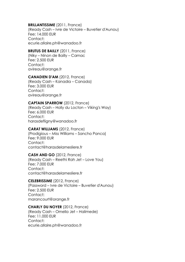# **BRILLANTISSIME** (2011, France)

(Ready Cash – Ivre de Victoire – Buvetier d'Aunou) Fee: 14.000 EUR Contact: ecurie.allaire.ph@wanadoo.fr

# **BRUTUS DE BAILLY** (2011, France)

(Niky – Ninon de Bailly – Carnac Fee: 2.500 EUR Contact: avireau@orange.fr

# **CANADIEN D'AM** (2012, France)

(Ready Cash – Kanadia – Canada) Fee: 3.000 EUR Contact<sup>.</sup> avireau@orange.fr

# **CAPTAIN SPARROW** (2012, France)

(Ready Cash – Holly du Locton – Viking's Way) Fee: 6.000 EUR Contact: harasdefligny@wanadoo.fr

#### **CARAT WILLIAMS** (2012, France)

(Prodigious – Miss Williams – Sancho Panca) Fee: 9.000 EUR Contact: contact@harasdelamesliere.fr

# **CASH AND GO** (2012, France)

(Ready Cash – Reethi Rah Jet – Love You) Fee: 7.000 EUR Contact: contact@harasdelamesliere.fr

#### **CELEBRISSIME** (2012, France)

(Password – Ivre de Victoire – Buvetier d'Aunou) Fee: 2.500 EUR Contact: marancourt@orange.fr

#### **CHARLY DU NOYER** (2012, France)

(Ready Cash – Ornella Jet – Halimede) Fee: 11.000 EUR Contact: ecurie.allaire.ph@wanadoo.fr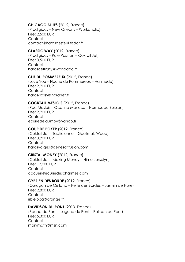# **CHICAGO BLUES** (2012, France)

(Prodigious – New Orleans – Workaholic) Fee: 2.500 EUR Contact: contact@harasdesfeullesdor.fr

#### **CLASSIC WAY** (2012, France)

(Prodigious – Pole Position – Coktail Jet) Fee: 3.500 EUR Contact: harasdefligny@wanadoo.fr

#### **CLIF DU POMMEREUX** (2012, France)

(Love You – Noune du Pommereux – Halimede) Fee: 2.200 EUR Contact: haras-sassy@nordnet.fr

#### **COCKTAIL MESLOIS** (2012, France)

(Roc Meslois – Ocarina Mesloise – Hermes du Buisson) Fee: 2.200 EUR Contact: ecuriedelaumoy@yahoo.fr

#### **COUP DE POKER** (2012, France)

(Coktail Jet – Tacticienne – Goetmals Wood) Fee: 3.900 EUR Contact: harasvaiges@genesdiffusion.com

#### **CRISTAL MONEY** (2012, France)

(Coktail Jet – Making Money – Himo Josselyn) Fee: 12.000 EUR Contact: accueil@ecuriedescharmes.com

#### **CYPRIEN DES BORDE** (2012, France)

(Ouragon de Celland – Perle des Bordes – Jasmin de Flore) Fee: 2.800 EUR Contact: ribjeloca@orange.fr

#### **DAVIDSON DU PONT** (2013, France)

(Pacha du Pont – Laguna du Pont – Pelican du Pont) Fee: 5.300 EUR Contact: marymath@msn.com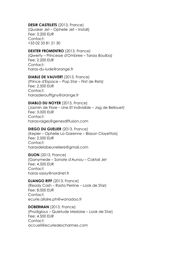# **DESIR CASTELETS** (2013, France)

(Quaker Jet – Ophelie Jet – Install) Fee: 3.200 EUR Contact: +33 02 33 81 21 30

# **DEXTER FROMENTRO** (2013, France)

(Qwerty – Princesse d'Ombree – Tarass Boulba) Fee: 2.200 EUR Contact: haras-du-lude@orange.fr

#### **DIABLE DE VAUVERT** (2013, France)

(Prince d'Espace – Pop Star – First de Retz) Fee: 2.500 EUR Contact<sup>.</sup> harasderouffigny@orange.fr

#### **DIABLO DU NOYER** (2013, France)

(Jasmin de Flore – Une Et Indivisible – Jag de Bellouet) Fee: 3.000 EUR Contact: harasvaiges@genesdiffusion.com

#### **DIEGO DU GUELIER** (2013, France)

(Kepler – Ophelie La Garenne – Blason Clayettois) Fee: 2.500 EUR Contact: harasdelabeuneliere@gmail.com

# **DIJON** (2013, France)

(Ganymede – Sonate d'Aunou – Coktail Jet Fee: 4.500 EUR Contact: haras-sassy@nordnet.fr

**DJANGO RIFF** (2013, France)

(Ready Cash – Rasta Perrine – Look de Star) Fee: 8.000 EUR Contact: ecurie.allaire.ph@wanadoo.fr

**DOBERMAN** (2013, France) (Prodigious – Quietude Mesloise – Look de Star) Fee: 4.500 EUR Contact: accueil@ecuriedescharmes.com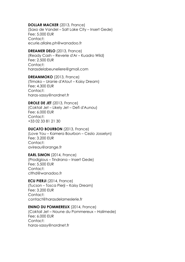#### **DOLLAR MACKER** (2013, France)

(Saxo de Vandel – Salt Lake City – Insert Gede) Fee: 5.000 EUR Contact: ecurie.allaire.ph@wanadoo.fr

#### **DREAMER DELO** (2013, France)

(Ready Cash – Reverie d'Ar – Kuadro Wild) Fee: 2.500 EUR Contact: harasdelabeuneliere@gmail.com

#### **DREAMMOKO** (2013, France)

(Timoko – Uranie d'Atout – Kaisy Dream) Fee: 4.300 EUR Contact: haras-sassy@nordnet.fr

#### **DROLE DE JET** (2013, France)

(Coktail Jet – Likely Jet – Defi d'Aunou) Fee: 6.000 EUR Contact: +33 02 33 81 21 30

#### **DUCATO BOURBON** (2013, France)

(Love You – Kamera Bourbon – Cezio Josselyn) Fee: 3.200 EUR Contact: avireau@orange.fr

# **EARL SIMON** (2014, France)

(Prodigious – Tindrana – Insert Gede) Fee: 5.500 EUR Contact: clthd@wanadoo.fr

# **ECU PIERJI** (2014, France)

(Tucson – Tosca Pierji – Kaisy Dream) Fee: 3.200 EUR Contact: contact@harasdelameslerie.fr

#### **ENINO DU POMMEREUX** (2014, France)

(Coktail Jet – Noune du Pommereux – Halimede) Fee: 6.000 EUR Contact: haras-sassy@nordnet.fr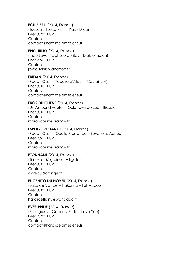**ECU PIERJI** (2014, France) (Tucson – Tosca Pierji – Kaisy Dream) Fee: 3.200 EUR Contact: contact@harasdelameslerie.fr

**EPIC JULRY** (2014, France) (Nice Love – Ophelie de Bas – Diable Indien) Fee: 2.500 EUR Contact: jp-gauvin@wanadoo.fr

**ERIDAN** (2014, France) (Ready Cash – Topaze d'Atout – Coktail Jet) Fee: 8.000 EUR Contact<sup>+</sup> contact@harasdelameslerie.fr

# **EROS DU CHENE** (2014, France)

(Un Amour d'Haufor – Oulanova de Lou – Biesolo) Fee: 3.000 EUR Contact: marancourt@orange.fr

#### **ESPOIR PRESTANCE** (2014, France)

(Ready Cash – Quelle Prestance – Buvetier d'Aunou) Fee: 2.500 EUR Contact: marancourt@orange.fr

#### **ETONNANT** (2014, France)

(Timoko – Migraine – Alligator) Fee: 3.000 EUR Contact: avireau@orange.fr

#### **EUGENITO DU NOYER** (2014, France)

(Saxo de Vandel – Pakarina – Full Account) Fee: 3.000 EUR Contact: harasdefligny@wanadoo.fr

**EVER PRIDE** (2014, France) (Prodigious – Queenly Pride – Love You) Fee: 2.200 EUR Contact: contact@harasdelameslerie.fr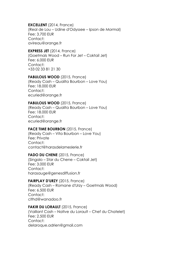# **EXCELLENT** (2014, France)

(Real de Lou – Udine d'Odyssee – Ipson de Mormal) Fee: 3.700 EUR Contact: avireau@orange.fr

# **EXPRESS JET** (2014, France)

(Goetmals Wood – Run For Jet – Coktail Jet) Fee: 6.000 EUR Contact: +33 02 33 81 21 30

# **FABULOUS WOOD** (2015, France)

(Ready Cash – Qualita Bourbon – Love You) Fee: 18.000 EUR Contact: ecuried@orange.fr

# **FABULOUS WOOD** (2015, France)

(Ready Cash – Qualita Bourbon – Love You) Fee: 18.000 EUR Contact: ecuried@orange.fr

# **FACE TIME BOURBON (2015, France)**

(Ready Cash – Vita Bourbon – Love You) Fee: Private Contact: contact@harasdelameslerie.fr

# **FADO DU CHENE** (2015, France)

(Singalo – Star du Chene – Coktail Jet) Fee: 3.000 EUR Contact: harasauge@genesdiffusion.fr

# **FAIRPLAY D'URZY** (2015, France)

(Ready Cash – Romane d'Urzy – Goetmals Wood) Fee: 6.500 EUR Contact: clthd@wanadoo.fr

# **FAKIR DU LORAULT** (2015, France)

(Vaillant Cash – Native du Lorault – Chef du Chatelet) Fee: 2.500 EUR Contact: delaroque.adrien@gmail.com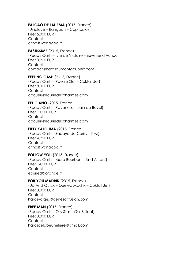# FALCAO DE LAURMA (2015, France)

(Uniclove – Rangoon – Capriccio) Fee: 5.000 EUR Contact: clthd@wanadoo.fr

**FASTISSIME** (2015, France) (Ready Cash – Ivre de Victoire – Buvetier d'Aunou) Fee: 3.200 EUR Contact: contact@harasdumontgoubert.com

**FEELING CASH** (2015, France) (Ready Cash – Royale Star – Coktail Jet) Fee: 8.000 EUR Contact<sup>+</sup> accueil@ecuriedescharmes.com

#### **FELICIANO** (2015, France)

(Ready Cash – Ravanella – Jain de Beval) Fee: 10.000 EUR Contact: accueil@ecuriedescharmes.com

#### **FIFTY KALOUMA** (2015, France)

(Ready Cash – Sadaya de Cerisy – Kiwi) Fee: 4.200 EUR Contact: clthd@wanadoo.fr

#### **FOLLOW YOU** (2015, France)

(Ready Cash – Mara Bourbon – And Arifant) Fee: 14.000 EUR Contact: ecuried@orange.fr

#### **FOR YOU MADRIK** (2015, France)

(Up And Quick – Quelea Madrik – Coktail Jet) Fee: 3.000 EUR Contact: harasvaiges@genesdiffusion.com

**FREE MAN** (2015, France) (Ready Cash – Olly Star – Gai Brillant) Fee: 3.000 EUR Contact: harasdelabeuneliere@gmail.com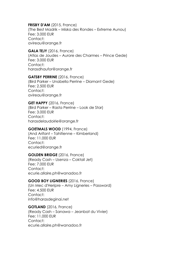#### **FRISBY D'AM** (2015, France)

(The Best Madrik – Miska des Rondes – Extreme Aunou) Fee: 3.000 EUR Contact: avireau@orange.fr

# **GALA TEJY** (2016, France)

(Atlas de Joudes – Aurore des Charmes – Prince Gede) Fee: 3.000 EUR Contact: harasdhaufor@orange.fr

#### **GATSBY PERRINE** (2016, France)

(Bird Parker – Unabella Perrine – Diamant Gede) Fee: 2.500 EUR Contact: avireau@orange.fr

#### **GET HAPPY** (2016, France)

(Bird Parker – Rasta Perrine – Look de Star) Fee: 3.000 EUR Contact: harasdelaudoirie@orange.fr

#### **GOETMALS WOOD** (1994, France)

(And Arifant – Tahitienne – Kimberland) Fee: 11.000 EUR Contact: ecuried@orange.fr

# **GOLDEN BRIDGE** (2016, France)

(Ready Cash – Usenza – Coktail Jet) Fee: 7.000 EUR Contact: ecurie.allaire.ph@wanadoo.fr

#### **GOOD BOY LIGNERIES** (2016, France)

(Un Mec d'Heripre – Amy Ligneries – Password) Fee: 4.500 EUR Contact: info@harasdeginai.net

# **GOTLAND** (2016, France)

(Ready Cash – Sanawa – Jeanbat du Vivier) Fee: 11.000 EUR Contact: ecurie.allaire.ph@wanadoo.fr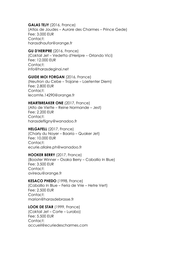#### **GALAS TEJY** (2016, France)

(Atlas de Joudes – Aurore des Charmes – Prince Gede) Fee: 3.000 EUR Contact: harasdhaufor@orange.fr

#### **GU D'HERIPRE** (2016, France)

(Coktail Jet – Vedetta d'Heripre – Orlando Vici) Fee: 12.000 EUR Contact: info@harasdeginai.net

#### **GUIDE MOI FORGAN** (2016, France)

(Neutron du Cebe – Trajane – Laetenter Diem) Fee: 2.800 EUR Contact: lecomte.14290@orange.fr

#### **HEARTBREAKER ONE** (2017, France)

(Alto de Viette – Reine Normande – Jest) Fee: 2.200 EUR Contact: harasdefligny@wanadoo.fr

#### **HELGAFELL** (2017, France)

(Charly du Noyer – Baaria – Quaker Jet) Fee: 10.000 EUR Contact: ecurie.allaire.ph@wanadoo.fr

#### **HOOKER BERRY** (2017, France)

(Booster Winner – Osaka Berry – Caballio In Blue) Fee: 3.500 EUR Contact: avireau@orange.fr

#### **KESACO PHEDO** (1998, France)

(Caballio In Blue – Feria de Vrie – Hetre Vert) Fee: 2.500 EUR Contact: marion@harasdebrasse.fr

#### **LOOK DE STAR** (1999, France)

(Coktail Jet – Corte – Lurabo) Fee: 5.500 EUR Contact: accueil@ecuriedescharmes.com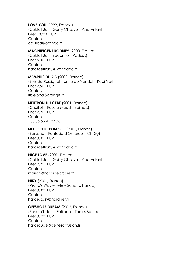#### **LOVE YOU** (1999, France)

(Coktail Jet – Guilty Of Love – And Arifant) Fee: 18.000 EUR Contact: ecuried@orange.fr

#### **MAGNIFICENT RODNEY** (2000, France)

(Coktail Jet – Bodomie – Podosis) Fee: 5.000 EUR Contact: harasdefligny@wanadoo.fr

#### **MEMPHIS DU RIB** (2000, France)

(Elvis de Rossignol – Unite de Vandel – Kepi Vert) Fee: 2.500 EUR Contact: ribjeloca@orange.fr

# **NEUTRON DU CEBE** (2001, France)

(Chaillot – Fausta Maud – Seilhac) Fee: 2.200 EUR Contact: +33 06 66 41 07 76

#### **NI HO PED D'OMBREE** (2001, France)

(Bassano – Fantasia d'Ombree – Off Gy) Fee: 3.000 EUR Contact: harasdefligny@wanadoo.fr

**NICE LOVE** (2001, France) (Coktail Jet – Guilty Of Love – And Arifant) Fee: 2.200 EUR Contact: marion@harasdebrasse.fr

**NIKY** (2001, France) (Viking's Way – Fete – Sancho Panca) Fee: 8.000 EUR Contact: haras-sassy@nordnet.fr

# **OFFSHORE DREAM** (2002, France)

(Reve d'Udon – Enfilade – Tarass Boulba) Fee: 3.700 EUR Contact: harasauge@genesdiffusion.fr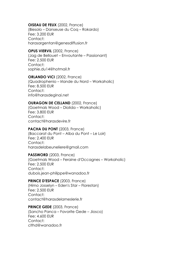#### **OISEAU DE FEUX** (2002, France)

(Biesolo – Danseuse du Coq – Rokardo) Fee: 3.200 EUR Contact: harasargentan@genesdiffusion.fr

# **OPUS VIERVIL** (2002, France)

(Jag de Bellouet – Envoutante – Passionant) Fee: 2.500 EUR Contact: sophie.du14@hotmail.fr

#### **ORLANDO VICI** (2002, France)

(Quadrophenio – Irlande du Nord – Workaholic) Fee: 8.500 EUR Contact: info@harasdeginai.net

#### **OURAGON DE CELLAND** (2002, France)

(Goetmals Wood – Diolida – Workaholic) Fee: 3.800 EUR Contact: contact@harasdevire.fr

# **PACHA DU PONT** (2003, France)

(Baccarat du Pont – Alba du Pont – Le Loir) Fee: 2.400 EUR Contact: harasdelabeuneliere@gmail.com

#### PASSWORD (2003, France)

(Goetmals Wood – Feraine d'Occagnes – Workaholic) Fee: 2.500 EUR Contact: dubois.jean-philippe@wanadoo.fr

#### **PRINCE D'ESPACE** (2003, France)

(Himo Josselyn – Eden's Star – Florestan) Fee: 2.500 EUR Contact: contact@harasdelameslerie.fr

#### **PRINCE GEDE** (2003, France)

(Sancho Panca – Favorite Gede – Jiosco) Fee: 4.600 EUR Contact: clthd@wanadoo.fr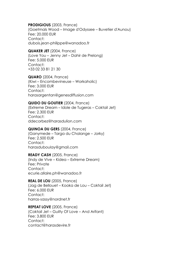#### **PRODIGIOUS** (2003, France)

(Goetmals Wood – Image d'Odyssee – Buvetier d'Aunou) Fee: 20.000 EUR Contact: dubois.jean-philippe@wanadoo.fr

#### **QUAKER JET** (2004, France)

(Love You – Jenny Jet – Dahir de Prelong) Fee: 5.000 EUR Contact: +33 02 33 81 21 30

# **QUARO** (2004, France)

(Kiwi – Encombevineuse – Workaholic) Fee: 3.000 EUR Contact: harasargentan@genesdiffusion.com

#### **QUIDO DU GOUTIER** (2004, France)

(Extreme Dream – Idole de Tugeras – Coktail Jet) Fee: 2.300 EUR Contact: ddecorbez@harasdulion.com

#### **QUINOA DU GERS** (2004, France)

(Ganymede – Targa du Chalange – Jorky) Fee: 2.500 EUR Contact: harasduboulay@gmail.com

# **READY CASH** (2005, France)

(Indy de Vive – Kidea – Extreme Dream) Fee: Private Contact: ecurie.allaire.ph@wanadoo.fr

#### **REAL DE LOU** (2005, France)

(Jag de Bellouet – Kooka de Lou – Coktail Jet) Fee: 6.000 EUR Contact: harras-sassy@nordnet.fr

#### **REPEAT LOVE** (2005, France)

(Coktail Jet – Guilty Of Love – And Arifant) Fee: 3.800 EUR Contact: contact@harasdevire.fr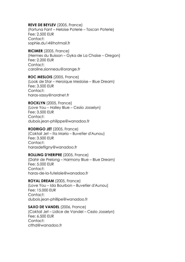# **REVE DE BEYLEV** (2005, France)

(Fortuna Fant – Heloise Poterie – Toscan Poterie) Fee: 2.500 EUR Contact: sophie.du14@hotmail.fr

#### **RICIMER** (2005, France)

(Hermes du Buisson – Gyka de La Chaise – Oregon) Fee: 2.200 EUR Contact: caroline.sionneau@orange.fr

**ROC MESLOIS** (2005, France) (Look de Star – Heroique Mesloise – Blue Dream) Fee: 3.500 EUR Contact: haras-sassy@nordnet.fr

#### **ROCKLYN** (2005, France)

(Love You – Halley Blue – Cezio Josselyn) Fee: 3.500 EUR Contact: dubois.jean-philippe@wanadoo.fr

#### **RODRIGO JET** (2005, France)

(Coktail Jet – Ita Maria – Buvetier d'Aunou) Fee: 3.500 EUR Contact: harasdefligny@wanadoo.fr

# **ROLLING D'HERIPRE** (2005, France)

(Dahir de Prelong – Harmony Blue – Blue Dream) Fee: 5.000 EUR Contact: haras-de-la-futelaie@wanadoo.fr

#### **ROYAL DREAM** (2005, France)

(Love You – Ida Bourbon – Buvetier d'Aunou) Fee: 15.000 EUR Contact: dubois.jean-phillipe@wanadoo.fr

#### **SAXO DE VANDEL** (2006, France)

(Coktail Jet – Lidice de Vandel – Cezio Josselyn) Fee: 6.500 EUR Contact: clthd@wanadoo.fr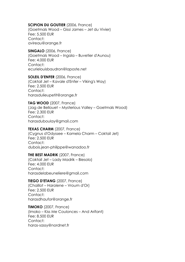# **SCIPION DU GOUTIER** (2006, France)

(Goetmals Wood – Gissi James – Jet du Vivier) Fee: 5.500 EUR Contact: avireau@orange.fr

# **SINGALO** (2006, France)

(Goetmals Wood – Ingala – Buvetier d'Aunou) Fee: 4.000 EUR Contact: ecurielouisbaudron@laposte.net

# **SOLEIL D'ENFER** (2006, France)

(Coktail Jet – Kavale d'Enfer – Viking's Way) Fee: 2.500 EUR Contact: harasdulieupetit@orange.fr

#### **TAG WOOD** (2007, France)

(Jag de Bellouet – Mysterious Valley – Goetmals Wood) Fee: 2.300 EUR Contact: harasduboulay@gmail.com

#### **TEXAS CHARM** (2007, France)

(Cygnus d'Odyssee – Kamela Charm – Coktail Jet) Fee: 2.500 EUR Contact: dubois.jean-philippe@wanadoo.fr

#### **THE BEST MADRIK** (2007, France)

(Coktail Jet – Lady Madrik – Biesolo) Fee: 4.000 EUR Contact: harasdelabeuneliere@gmail.com

#### **TIEGO D'ETANG** (2007, France)

(Chaillot – Harolene – Vroum d'Or) Fee: 2.500 EUR Contact: harasdhaufor@orange.fr

**TIMOKO** (2007, France) (Imoko – Kiss Me Coulonces – And Arifant) Fee: 8.500 EUR Contact: haras-sassy@nordnet.fr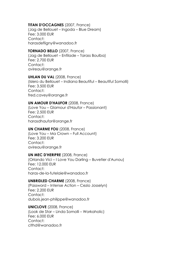# **TITAN D'OCCAGNES** (2007, France)

(Jag de Bellouet – Ingoda – Blue Dream) Fee: 3.000 EUR Contact: harasdefligny@wanadoo.fr

# **TORNADO BELLO** (2007, France)

(Jag de Bellouet – Enfilade – Tarass Boulba) Fee: 2.700 EUR Contact: avireau@orange.fr

# **UHLAN DU VAL** (2008, France)

(Islero du Bellouet – Indiana Beautiful – Beautiful Somolli) Fee: 3.500 EUR Contact<sup>.</sup> fred.cavey@orange.fr

#### **UN AMOUR D'HAUFOR** (2008, France)

(Love You – Glamour d'Haufor – Passionant) Fee: 2.500 EUR Contact: harasdhaufor@orange.fr

#### **UN CHARME FOU** (2008, France)

(Love You – Ma Crown – Full Account) Fee: 3.200 EUR Contact: avireau@orange.fr

#### **UN MEC D'HERIPRE** (2008, France)

(Orlando Vici – I Love You Darling – Buvetier d'Aunou) Fee: 12.000 EUR Contact: haras-de-la-futelaie@wanadoo.fr

# **UNBRIDLED CHARME** (2008, France)

(Password – Intense Action – Cezio Josselyn) Fee: 2.200 EUR Contact: dubois.jean-philippe@wanadoo.fr

**UNICLOVE** (2008, France) (Look de Star – Linda Somolli – Workaholic) Fee: 6.000 EUR Contact: clthd@wanadoo.fr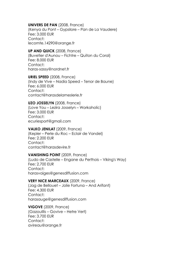#### **UNIVERS DE PAN** (2008, France)

(Kenya du Pont – Gypsilore – Pan de La Vaudere) Fee: 3.000 EUR Contact: lecomte.14290@orange.fr

# **UP AND QUICK** (2008, France)

(Buvetier d'Aunou – Fichtre – Quiton du Coral) Fee: 8.000 EUR Contact: haras-sassy@nordnet.fr

**URIEL SPEED** (2008, France) (Indy de Vive – Nadia Speed – Tenor de Baune) Fee: 6.000 EUR Contact<sup>.</sup> contact@harasdelameslerie.fr

#### **UZO JOSSELYN** (2008, France)

(Love You – Lezira Josselyn – Workaholic) Fee: 3.000 EUR Contact: ecuriesport@gmail.com

# **VALKO JENILAT** (2009, France)

(Kepler – Perle du Roc – Eclair de Vandel) Fee: 2.200 EUR Contact: contact@harasdevire.fr

# **VANISHING POINT** (2009, France)

(Ludo de Castelle – Engane du Perthois – Viking's Way) Fee: 2.700 EUR Contact: harasvaiges@genesdiffusion.com

#### **VERY NICE MARCEAUX** (2009, France)

(Jag de Bellouet – Jolie Fortuna – And Arifant) Fee: 4.300 EUR Contact: harasauge@genesdiffusion.com

**VIGOVE** (2009, France) (Gazouillis – Govive – Hetre Vert) Fee: 3.700 EUR Contact: avireau@orange.fr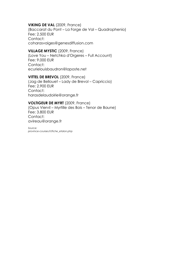# **VIKING DE VAL** (2009, France)

(Baccarat du Pont – La Forge de Val – Quadrophenio) Fee: 2.500 EUR Contact: coharasvaiges@genesdiffusion.com

# **VILLAGE MYSTIC** (2009, France)

(Love You – Netchka d'Orgeres – Full Account) Fee: 9.000 EUR Contact: ecurielouisbaudron@laposte.net

# **VITTEL DE BREVOL** (2009, France)

(Jag de Bellouet – Lady de Brevol – Capriccio) Fee: 2.900 EUR Contact: harasdelaudoirie@orange.fr

#### **VOLTIGEUR DE MYRT** (2009, France)

(Opus Viervil – Myrtille des Bois – Tenor de Baune) Fee: 3.800 EUR Contact: avireau@orange.fr

*Source: province-courses.fr/fiche\_etalon.php*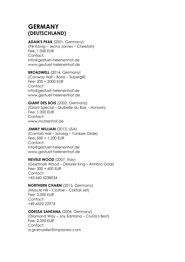# **GERMANY (DEUTSCHLAND)**

# **ADAM'S PEAK** (2001, Germany)

(Pik König – Jenny James – Cheetah) Fee: 1.000 EUR Contact: info@gestuet-helenenhof.de www.gestuet-helenenhof.de

# **BROADWELL** (2014, Germany) (Conway Hall – Boria – Supergill) Fee: 200 + 2000 EUR

Contact: info@gestuet-helenenhof.de www.gestuet-helenenhof.de

# **GIANT DES BOIS** (2002, Germany)

(Giant Special – Quibelle du Bois – Honorin) Fee: 1.000 EUR Contact: www.mutzenhof.de

# **JIMMY WILLIAM** (2013, USA)

(Cantab Hall – Solveig – Yankee Glide) Fee: 500 + 1.200 EUR Contact: info@gestuet-helenenhof.de www.gestuet-helenenhof.de

# **NEVELE WOOD** (2007, Italy)

(Goetmals Wood – Delores King – Armbro Goal) Fee: 300 + 600 EUR Contact: +43 660 5238534

# **NORTHERN CHARM** (2015, Germany)

(Muscle Hill – Clothie – Coktail Jet) Fee: 2.000 EUR Contact: +49 4532 22974

# **ODESSA SANTANA** (2004, Germany)

(Diamond Way – Joy Santana – Crysta's Best) Fee: 2.000 EUR Contact: a.gramueller@implaneo.com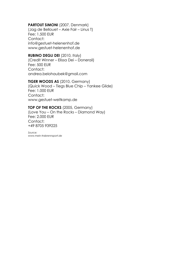# **PARTOUT SIMONI** (2007, Denmark)

(Jag de Bellouet – Axie Fair – Linus T) Fee: 1.500 EUR Contact: info@gestuet-helenenhof.de www.gestuet-helenenhof.de

# **RUBINO DEGLI DEI** (2010, Italy)

(Credit Winner – Elissa Dei – Donerail) Fee: 500 EUR Contact: andrea.belohaubek@gmail.com

#### **TIGER WOODS AS** (2010, Germany)

(Quick Wood – Tiegs Blue Chip – Yankee Glide) Fee: 1.000 EUR Contact: www.gestuet-weitkamp.de

# **TOP OF THE ROCKS** (2005, Germany)

(Love You – On the Rocks – Diamond Way) Fee: 2.000 EUR Contact: +49 8705 939225

*Source: www.mein-trabrennsport.de*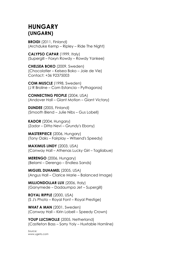# **HUNGARY (UNGARN)**

**BROIDI** (2011, Finland) (Archduke Kemp – Ripley – Ride The Night)

**CALYPSO CAPAR** (1999, Italy) (Supergill – Foxyn Rowdy – Rowdy Yankee)

**CHELSEA BOKO** (2009, Sweden) (Chocolatier – Kelsea Boko – Joie de Vie) Contact: +36 92375003

**COM MUSCLE** (1998, Sweden) (J R Broline – Com Estancia – Pythagoras)

**CONNECTING PEOPLE** (2004, USA) (Andover Hall – Giant Motion – Giant Victory)

**DUNDEE** (2005, Finland) (Smooth Blend – Julie Nibs – Gus Lobell)

**KADOR** (2004, Hungary) (Zador – Ditta Nevi – Grundy's Ebony)

**MASTERPIECE** (2006, Hungary) (Tony Oaks – Fairplay – Witsend's Speedy)

**MAXIMUS LINDY** (2003, USA) (Conway Hall – Athenas Lucky Girl – Tagliabue)

**MERENGO** (2006, Hungary) (Belami – Derengo – Endless Sands)

**MIGUEL DUHAMEL** (2005, USA) (Angus Hall – Clarice Marie – Balanced Image)

**MILLIONDOLLAR LUX** (2006, Italy) (Ganymede – Dadaumpa Jet – Supergill)

**ROYAL RIPPLE** (2000, USA) (S J's Photo – Royal Font – Royal Prestige)

**WHAT A MAN** (2001, Sweden) (Conway Hall – Kirin Lobell – Speedy Crown)

**YOUP LUCSWOLLE** (2005, Netherland) (Castleton Bass – Sorry Yoly – Huxtable Hornline)

*Source: www.ugeto.com*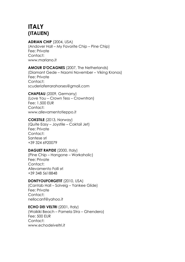# **ITALY (ITALIEN)**

# **ADRIAN CHIP** (2004, USA)

(Andover Hall – My Favorite Chip – Pine Chip) Fee: Private Contact: www.mariano.it

# **AMOUR D'OCAGNES** (2007, The Netherlands)

(Diamant Gede – Naomi November – Viking Kronos) Fee: Private Contact: scuderiaferrarahorses@gmail.com

# **CHAPEAU** (2009, Germany)

(Love You – Crown Tess – Crowntron) Fee: 1.500 EUR Contact: www.allevamentotieppo.it

**COKSTILE** (2013, Norway) (Quite Easy – Joystile – Coktail Jet) Fee: Private Contact: Santese srl +39 324 6920079

# **DAGUET RAPIDE** (2000, Italy)

(Pine Chip – Hangone – Workaholic) Fee: Private Contact: Allevamento Folli srl +39 348 5618848

# **DONTYOUFORGETIT** (2010, USA)

(Cantab Hall – Solveig – Yankee Glide) Fee: Private Contact: nellocanf@yahoo.it

# **ECHO DEI VELTRI (2001, Italy)**

(Waikiki Beach – Pamela Stra – Ghendero) Fee: 500 EUR Contact: www.echodeiveltri.it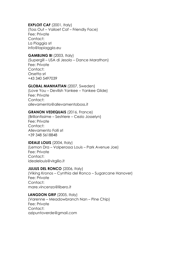# **EXPLOIT CAF (2001, Italy)**

(Toss Out – Vailoet Caf – Friendly Face) Fee: Private Contact: La Piaggia srl info@lapiaggia.eu

# **GAMBLING BI** (2003, Italy)

(Supergill – USA di Jesolo – Dance Marathon) Fee: Private Contact: Orsetta srl +43 340 5497039

# **GLOBAL MANHATTAN** (2007, Sweden)

(Love You – Devilish Yankee – Yankee Glide) Fee: Private Contact: allevamento@allevamentoboss.it

# **GRANON VEDEQUAIS** (2016, France)

(Brillantissime – Sestriere – Cezio Josselyn) Fee: Private Contact: Allevamento Folli srl +39 348 5618848

# **IDEALE LOUIS** (2004, Italy)

(Lemon Dra – Volperossa Louis – Park Avenue Joe) Fee: Private Contact: idealelouis@virgilio.it

# **JULIUS DEL RONCO** (2006, Italy)

(Viking Kronos – Cynthia del Ronco – Sugarcane Hanover) Fee: Private Contact: mare.vincenzo@libero.it

# **LANGDON GRIF** (2005, Italy)

(Varenne – Meadowbranch Nan – Pine Chip) Fee: Private Contact: azipuntoverde@gmail.com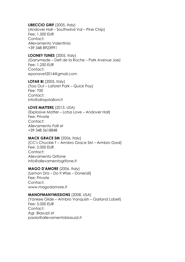# **LIBECCIO GRIF** (2005, Italy)

(Andover Hall – Southwind Val – Pine Chip) Fee: 1.500 EUR Contact: Allevamento Valentinia +39 348 8923991

# **LOONEY TUNES** (2005, Italy)

(Ganymede – Defi de la Roche – Park Avenue Joe) Fee: 1.250 EUR Contact: eponavet2014@gmail.com

**LOTAR BI** (2005, Italy) (Toss Out – Laforet Park – Quick Pay) Fee: 700 Contact: info@altopstalloni.it

# **LOVE MATTERS** (2013, USA)

(Explosive Matter – Lotsa Love – Andover Hall) Fee: Private Contact: Allevamento Folli srl +39 348 5618848

# **MACK GRACE SM** (2006, Italy)

(CC's Chuckie T – Armbro Grace SM – Armbro Goal) Fee: 2.000 EUR Contact: Allevamento Grifone info@allevamentogrifone.it

# **MAGO D'AMORE** (2006, Italy)

(Lemon Dra – Do It Wise – Donerail) Fee: Private Contact: www.magodamore.it

# **MANOFMANYMISSIONS** (2008, USA)

(Yankee Glide – Armbro Vanquish – Garland Lobell) Fee: 5.000 EUR Contact: Agr. Biasuzzi srl paola@allevamentobiasuzzi.it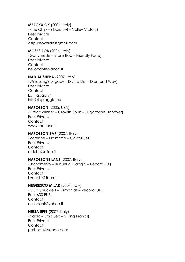**MERCKX OK** (2006, Italy)

(Pine Chip – Zibbia Jet – Valley Victory) Fee: Private Contact: azipuntoverde@gmail.com

# **MOSES ROB** (2006, Italy)

(Ganymede – Etoile Rob – Friendly Face) Fee: Private Contact: nellocanf@yahoo.it

# **NAD AL SHEBA** (2007, Italy)

(Windsong's Legacy – Divina Dei – Diamond Way) Fee: Private Contact: La Piaggia srl info@lapiaggia.eu

# **NAPOLEON** (2005, USA)

(Credit Winner – Growth Spurt – Sugarcane Hanover) Fee: Private Contact: www.mariano.it

# **NAPOLEON BAR** (2007, Italy)

(Varenne – Dalmazia – Coktail Jet) Fee: Private Contact: all.luise@alice.it

# **NAPOLEONE LANS** (2007, Italy)

(Uronometro – Bunuel di Piaggia – Record OK) Fee: Private Contact: i.vecchi@libero.it

# **NEGRESCO MILAR** (2007, Italy)

(CC's Chuckie T – Birmaniaz – Record OK) Fee: 600 EUR Contact: nellocanf@yahoo.it

**NESTA EFFE** (2007, Italy) (Naglo – Etna Sec – Viking Kronos) Fee: Private Contact: pmhorse@yahoo.com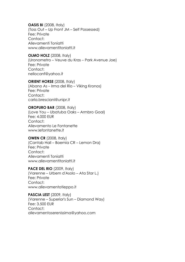**OASIS BI** (2008, Italy) (Toss Out – Up Front JM – Self Possessed) Fee: Private Contact: Allevamenti Toniatti www.allevamentitoniatti.it

**OLMO HOLZ** (2008, Italy) (Uronometro – Veuve du Kras – Park Avenue Joe) Fee: Private Contact: nellocanf@yahoo.it

**ORIENT HORSE** (2008, Italy) (Abano As – Irma del Rio – Viking Kronos) Fee: Private Contact: carla.bresciani@unipr.it

**OROPURO BAR** (2008, Italy) (Love You – Ubatuba Oaks – Armbro Goal) Fee: 4.000 EUR Contact: Allevamento Le Fontanette www.lefontanette.it

**OWEN CR** (2008, Italy) (Cantab Hall – Boemia CR – Lemon Dra) Fee: Private Contact: Allevamenti Toniatti www.allevamentitoniatti.it

**PACE DEL RIO** (2009, Italy) (Varenne – Urbem d'Asolo – Ata Star L.) Fee: Private Contact: www.allevamentotieppo.it

**PASCIA LEST** (2009, Italy) (Varenne – Superior's Sun – Diamond Way) Fee: 3.500 EUR Contact: allevamentoserenissima@yahoo.com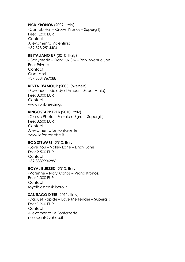# **PICK KRONOS** (2009, Italy)

(Cantab Hall – Crown Kronos – Supergill) Fee: 1.200 EUR Contact: Allevamento Valentinia +39 328 2514404

#### **RE ITALIANO UR** (2010, Italy)

(Ganymede – Dark Lux SM – Park Avenue Joe) Fee: Private Contact: Orsetta srl +39 3381967088

#### **REVEN D'AMOUR** (2005, Sweden)

(Revenue – Melody d'Amour – Super Arnie) Fee: 3.000 EUR Contact: www.runbreeding.it

#### **RINGOSTARR TREB** (2010, Italy)

(Classic Photo – Farsalo d'Egral – Supergill) Fee: 3.500 EUR Contact: Allevamento Le Fontanette www.lefontanette.it

# **ROD STEWART** (2010, Italy)

(Love You – Valley Lane – Lindy Lane) Fee: 2.500 EUR Contact: +39 3389936886

# **ROYAL BLESSED** (2010, Italy)

(Varenne – Ivory Kronos – Viking Kronos) Fee: 1.000 EUR Contact: royalblessed@libero.it

# **SANTIAGO D'ETE** (2011, Italy)

(Daguet Rapide – Love Me Tender – Supergill) Fee: 1.200 EUR Contact: Allevamento Le Fontanette nellocanf@yahoo.it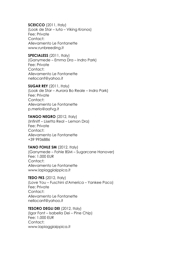**SCEICCO** (2011, Italy) (Look de Star – Iuta – Viking Kronos) Fee: Private Contact: Allevamento Le Fontanette www.runbreeding.it

**SPECIALESS** (2011, Italy) (Ganymede – Emma Dra – Indro Park) Fee: Private Contact: Allevamento Le Fontanette nellocanf@yahoo.it

**SUGAR REY** (2011, Italy) (Look de Star – Aurora Bo Reale – Indro Park) Fee: Private Contact: Allevamento Le Fontanette p.merlo@aafvg.it

**TANGO NEGRO** (2012, Italy) (Infinitf – Lisetta Real – Lemon Dra) Fee: Private Contact: Allevamento Le Fontanette +39 9936886

# **TANO FOHLE SM** (2012, Italy)

(Ganymede – Fohle BSM – Sugarcane Hanover) Fee: 1.000 EUR Contact: Allevamento Le Fontanette www.lapiaggiaippica.it

**TEDO FKS** (2012, Italy) (Love You – Fuschini d'America – Yankee Paco) Fee: Private Contact: Allevamento Le Fontanette nellocanf@yahoo.it

# **TESORO DEGLI DEI** (2012, Italy)

(Igor Font – Isabella Dei – Pine Chip) Fee: 1.000 EUR Contact: www.lapiaggiaippica.it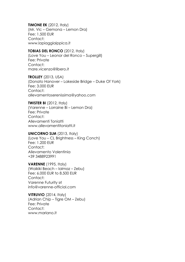**TIMONE EK** (2012, Italy) (Mr. Vic – Gemona – Lemon Dra) Fee: 1.500 EUR Contact: www.lapiaggiaippica.it

#### **TOBIAS DEL RONCO** (2012, Italy)

(Love You – Leonor del Ronco – Supergill) Fee: Private Contact: mare.vicenzo@libero.it

**TROLLEY** (2013, USA) (Donato Hanover – Lakeside Bridge – Duke Of York) Fee: 3.000 EUR Contact: allevamentoserenissima@yahoo.com

**TWISTER BI** (2012, Italy)

(Varenne – Lorraine Bi – Lemon Dra) Fee: Private Contact: Allevamenti Toniatti www.allevamentitoniatti.it

#### **UNICORNO SLM** (2013, Italy)

(Love You – CL Brightness – King Conch) Fee: 1.200 EUR Contact: Allevamento Valentinia +39 3488923991

**VARENNE** (1995, Italy) (Waikiki Beach – Ialmaz – Zebu) Fee: 6.000 EUR to 8.500 EUR Contact: Varenne Futurity srl info@varenne-official.com

**VITRUVIO** (2014, Italy) (Adrian Chip – Tigre OM – Zebu) Fee: Private Contact: www.mariano.it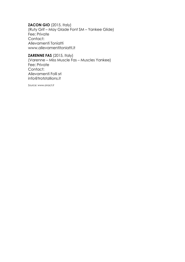**ZACON GIO** (2015, Italy) (Ruty Grif – May Glade Font SM – Yankee Glide) Fee: Private Contact: Allevamenti Toniatti www.allevamentitoniatti.it

**ZARENNE FAS** (2015, Italy) (Varenne – Miss Muscle Fas – Muscles Yankee) Fee: Private Contact: Allevamenti Folli srl info@trotstallions.it

*Source: www.anact.it*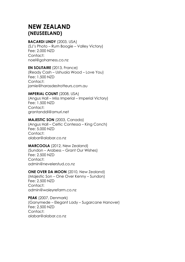# **NEW ZEALAND (NEUSEELAND)**

# **BACARDI LINDY** (2003, USA)

(SJ's Photo – Rum Boogie – Valley Victory) Fee: 2.000 NZD Contact: noel@goharness.co.nz

# **EN SOLITAIRE** (2013, France)

(Ready Cash – Ushuaia Wood – Love You) Fee: 1.500 NZD Contact: jamie@harasdestrotteurs.com.au

# **IMPERIAL COUNT** (2008, USA)

(Angus Hall – Miss Imperial – Imperial Victory) Fee: 1.500 NZD Contact: grantanddi@amuri.net

# **MAJESTIC SON** (2003, Canada)

(Angus Hall – Celtic Contessa – King Conch) Fee: 5.000 NZD Contact: alabar@alabar.co.nz

# **MARCOOLA** (2012, New Zealand)

(Sundon – Arabess – Grant Our Wishes) Fee: 2.500 NZD Contact: admin@nevelerstud.co.nz

# **ONE OVER DA MOON** (2010, New Zealand)

(Majestic Son – One Over Kenny – Sundon) Fee: 2.500 NZD Contact: admin@waieyrefarm.co.nz

**PEAK** (2007, Denmark) (Ganymede – Elegant Lady – Sugarcane Hanover) Fee: 2.500 NZD Contact<sup>.</sup> alabar@alabar.co.nz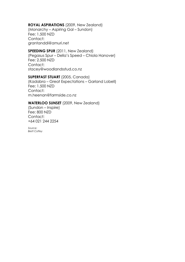# **ROYAL ASPIRATIONS** (2009, New Zealand)

(Monarchy – Aspiring Gal – Sundon) Fee: 1.500 NZD Contact: grantanddi@amuri.net

# **SPEEDING SPUR** (2011, New Zealand)

(Pegasus Spur – Della's Speed – Chiola Hanover) Fee: 2.500 NZD Contact: stacey@woodlandsstud.co.nz

# **SUPERFAST STUART** (2005, Canada)

(Kadabra – Great Expectations – Garland Lobell) Fee: 1.500 NZD Contact: m.heenan@farmside.co.nz

# **WATERLOO SUNSET** (2009, New Zealand)

(Sundon – Inspire) Fee: 800 NZD Contact: +64 021 244 2254

*Source: Brett Coffey*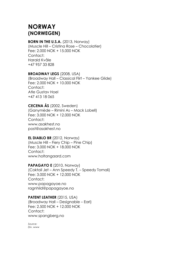# **NORWAY (NORWEGEN)**

#### **BORN IN THE U.S.A.** (2013, Norway)

(Muscle Hill – Cristina Rose – Chocolatier) Fee: 2.000 NOK + 15.000 NOK Contact: Harald Kvåle +47 957 33 828

# **BROADWAY LEGS** (2008, USA)

(Broadway Hall – Classical Flirt – Yankee Glide) Fee: 2.000 NOK + 10.000 NOK Contact: Atle Gustav Hoel +47 413 18 065

# **CECENA ÅS** (2002, Sweden)

(Ganymède – Rimini As – Mack Lobell) Fee: 3.000 NOK + 12.000 NOK Contact: www.asakhest.no post@asakhest.no

# **EL DIABLO BR** (2012, Norway)

(Muscle Hill – Fiery Chip – Pine Chip) Fee: 3.000 NOK + 18.000 NOK Contact: www.holtangaard.com

**PAPAGAYO E** (2010, Norway) (Coktail Jet – Ann Speedy T. – Speedy Tomali) Fee: 3.000 NOK + 12.000 NOK Contact: www.papagayoe.no ragnhild@papagayoe.no

**PATENT LEATHER** (2015, USA) (Broadway Hall – Designable – Earl) Fee: 2.500 NOK + 12.000 NOK Contact: www.spangberg.no

*Source: Div. www*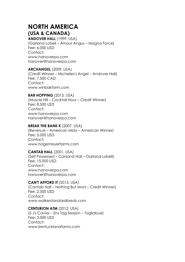# **NORTH AMERICA (USA & CANADA)**

**ANDOVER HALL** (1999, USA) (Garland Lobell – Amour Angus – Magna Force) Fee: 6.000 USD Contact: www.hanoverpa.com hanover@hanoverpa.com

# **ARCHANGEL** (2009, USA)

(Credit Winner – Michelles's Angel – Andover Hall) Fee: 7.500 CAD Contact: www.winbakfarm.com

# **BAR HOPPING** (2013, USA)

(Muscle Hill – Cocktail Hour – Credit Winner) Fee: 8.500 USD Contact: www.hanoverpa.com hanover@hanoverpa.com

# **BREAK THE BANK K** (2007, USA)

(Revenue – American Misty – American Winner) Fee: 5.000 USD Contact: www.hagemeyerfarms.com

# **CANTAB HALL** (2001, USA)

(Self Possessed – Canland Hall – Garland Lobell) Fee: 15.000 USD Contact: www.hanoverpa.com hanover@hanoverpa.com

# **CAN'T AFFORD IT** (2015, USA)

(Cantab Hall – Nothing But Moni – Credit Winner) Fee: 2.500 USD Contact: www.walkerstandardbreds.com

# **CENTURION ATM** (2012, USA)

(S J's Caviar – Ens Tag Session – Tagliabue) Fee: 3.000 USD Contact: www.kentuckianafarms.com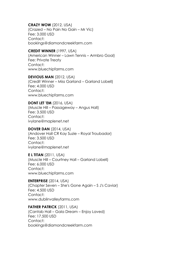# **CRAZY WOW** (2012, USA)

(Crazed – No Pain No Gain – Mr Vic) Fee: 3.000 USD Contact: bookings@diamondcreekfarm.com

# **CREDIT WINNER** (1997, USA)

(American Winner – Lawn Tennis – Armbro Goal) Fee: Private Treaty Contact: www.bluechipfarms.com

# **DEVIOUS MAN** (2012, USA)

(Credit Winner – Miss Garland – Garland Lobell) Fee: 4.000 USD Contact: www.bluechipfarms.com

# **DONT LET 'EM** (2016, USA)

(Muscle Hill – Passageway – Angus Hall) Fee: 3.500 USD Contact: ivylane@maplenet.net

# **DOVER DAN** (2014, USA)

(Andover Hall CR Kay Suzie – Royal Troubador) Fee: 3.500 USD Contact: ivylane@maplenet.net

# **E L TITAN** (2011, USA)

(Muscle Hill – Courtney Hall – Garland Lobell) Fee: 6.000 USD Contact: www.bluechipfarms.com

# **ENTERPRISE** (2014, USA)

(Chapter Seven – She's Gone Again – S J's Caviar) Fee: 4.500 USD Contact: www.dublinvalleyfarms.com

# **FATHER PATRICK** (2011, USA)

(Cantab Hall – Gala Dream – Enjoy Laved) Fee: 17.500 USD Contact: bookings@diamondcreekfarm.com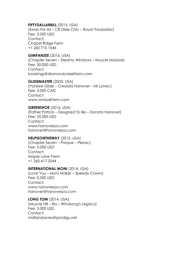# **FIFTYDALLARBILL** (2015, USA)

(Swan For All – CR Dixie Chic – Royal Troubador) Fee: 5.000 USD Contact: Chapel Ridge Farm +1 260 710 1546

# **GIMPANZEE** (2016, USA)

(Chapter Seven – Steamy Windows – Muscle Massive) Fee: 30.000 USD Contact: bookings@diamondcreekfarm.com

#### **GLIDEMASTER** (2003, USA)

(Yankee Glide – Cressida Hanover – Mr Lavec) Fee: 3.000 CAD Contact: www.winbakfarm.com

#### **GREENSHOE** (2016, USA)

(Father Patrick – Designed To Be – Donato Hanover) Fee: 25.000 USD Contact: www.hanoverpa.com hanover@hanoverpa.com

#### **HELPISONTHEWAY** (2015, USA)

(Chapter Seven – Porque – Plesac) Fee: 5.000 USD Contact: Maple Lane Farm +1 260 417 0544

# **INTERNATIONAL MONI** (2014, USA)

(Love You – Moni Maker – Speedy Crown) Fee: 5.000 USD Contact: www.hanoverpa.com hanover@hanoverpa.com

#### **LONG TOM** (2014, USA)

(Muscle Hill – Ilia – Windsong's Legacy) Fee: 3.000 USD Contact: midlandacres@prodigy.net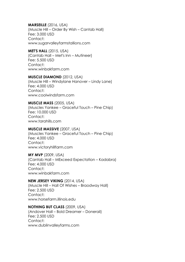**MARSEILLE** (2016, USA) (Muscle Hill – Order By Wish – Cantab Hall) Fee: 3.000 USD Contact: www.sugarvalleyfarmstallions.com

#### **MET'S HALL** (2015, USA) (Cantab Hall – Met's Inn – Mutineer) Fee: 5.500 USD Contact: www.winbakfarm.com

#### **MUSCLE DIAMOND** (2012, USA)

(Muscle Hill – Windylane Hanover – Lindy Lane) Fee: 4.000 USD Contact: www.coolwindsfarm.com

#### **MUSCLE MASS** (2005, USA)

(Muscles Yankee – Graceful Touch – Pine Chip) Fee: 10.000 USD Contact: www.tarahills.com

# **MUSCLE MASSIVE** (2007, USA)

(Muscles Yankee – Graceful Touch – Pine Chip) Fee: 4.000 USD Contact: www.victoryhillfarm.com

#### **MY MVP** (2009, USA)

(Cantab Hall – MExceed Expectation – Kadabra) Fee: 4.000 USD Contact: www.winbakfarm.com

#### **NEW JERSEY VIKING** (2014, USA)

(Muscle Hill – Hall Of Wishes – Braodway Hall) Fee: 2.500 USD Contact: www.horsefarm.illinois.edu

#### **NOTHING BUT CLASS** (2009, USA)

(Andover Hall – Bold Dreamer – Donerail) Fee: 2.500 USD Contact: www.dublinvalleyfarms.com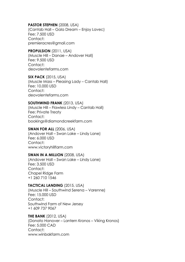# **PASTOR STEPHEN** (2008, USA)

(Cantab Hall – Gala Dream – Enjoy Lavec) Fee: 7.500 USD Contact: premieracres@gmail.com

#### **PROPULSION** (2011, USA)

(Muscle Hill – Danae – Andover Hall) Fee: 9.500 USD Contact: deovolentefarms.com

**SIX PACK** (2015, USA) (Muscle Mass – Pleasing Lady – Cantab Hall) Fee: 10.000 USD Contact<sup>.</sup> deovolentefarms.com

#### **SOUTHWIND FRANK** (2013, USA)

(Muscle Hill – Flawless Lindy – Cantab Hall) Fee: Private Treaty Contact: bookings@diamondcreekfarm.com

#### **SWAN FOR ALL** (2006, USA)

(Andover Hall – Swan Lake – Lindy Lane) Fee: 6.000 USD Contact: www.victoryhillfarm.com

#### **SWAN IN A MILLION** (2008, USA)

(Andover Hall – Swan Lake – Lindy Lane) Fee: 3.500 USD Contact: Chapel Ridge Farm +1 260 710 1546

# **TACTICAL LANDING** (2015, USA)

(Muscle Hill – Southwind Serena – Varenne) Fee: 15.000 USD Contact: Southwind Farm of New Jersey +1 609 737 9067

# **THE BANK** (2012, USA)

(Donato Hanover – Lantern Kronos – Viking Kronos) Fee: 5.000 CAD Contact: www.winbakfarm.com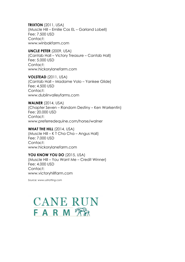**TRIXTON** (2011, USA) (Muscle Hill – Emilie Cas EL – Garland Lobell) Fee: 7.500 USD Contact: www.winbakfarm.com

#### **UNCLE PETER** (2009, USA)

(Cantab Hall – Victory Treasure – Cantab Hall) Fee: 5.000 USD Contact: www.hickorylanefarm.com

**VOLSTEAD** (2011, USA) (Cantab Hall – Madame Volo – Yankee Glide) Fee: 4.500 USD Contact: www.dublinvalleyfarms.com

**WALNER** (2014, USA) (Chapter Seven – Random Destiny – Ken Warkentin) Fee: 20.000 USD Contact: www.preferredequine.com/horse/walner

**WHAT THE HILL** (2014, USA) (Muscle Hill – K T Cha Cha – Angus Hall) Fee: 7.000 USD Contact: www.hickorylanefarm.com

#### **YOU KNOW YOU DO** (2015, USA)

(Muscle Hill – You Want Me – Credit Winner) Fee: 4.000 USD Contact: www.victoryhillfarm.com

*Source: www.ustrotting.com*

# **CANE RUN** FARM<sup>T</sup>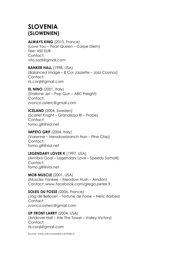# **SLOVENIA (SLOWENIEN)**

# **ALWAYS KING** (2010, France)

(Love You – Pearl Queen – Carpe Diem) Fee: 450 EUR Contact: vito.sadl@gmail.com

# **BANKER HALL** (1998, USA)

(Balanced Image – B Cor Jazzette – Jazz Cosmos) Contact: ris.conji@gmail.com

# **EL NINO** (2001, Italy) (Stallone Jet – Pop Gun – ABC Freight) Contact: zvonco.osterc@gmail.com

**ICELAND** (2004, Sweden) (Scarlet Knight – Grandezza Ri – Probe) Contact: tomo.gill@siol.net

# **IMPETO GRIF** (2004, Italy)

(Varenne – Meadowbranch Nan – Pine Chip) Contact: tomo.gill@siol.net

# **LEGENDARY LOVER K** (1997, USA)

(Armbro Goal – Legendary Love – Speedy Somolli) Contact: tomo.gill@siol.net

**MOB MUSCLE** (2001, USA) (Muscles Yankee – Meadow Hush – Arndon) Contact: www.facebook.com/grega.petek.9

**SOLEIL DU FOSSE** (2006, France) (Jag de Bellouet – Fortune de Fosse – Neric Barbes) Contact: zvonco.osterc@gmail.com

**UP FRONT LARRY** (2004, USA) (Andover Hall – Ate The Towel – Valley Victory) Contact: ris.conji@gmail.com

*Source: www.zveva-kasaka-centrala.sl*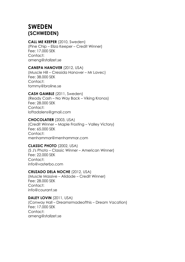# **SWEDEN (SCHWEDEN)**

# **CALL ME KEEPER** (2010, Sweden)

(Pine Chip – Eliza Keeper – Credit Winner) Fee: 17.000 SEK Contact: arneng@stallzet.se

# **CANEPA HANOVER** (2012, USA)

(Muscle Hill – Cressida Hanover – Mr Lavec) Fee: 38.000 SEK Contact: tommy@broline.se

# **CASH GAMBLE** (2011, Sweden)

(Ready Cash – No Way Back – Viking Kronos) Fee: 28.000 SEK Contact: loftadalens@gmail.com

# **CHOCOLATIER** (2003, USA)

(Credit Winner – Maple Frosting – Valley Victory) Fee: 65.000 SEK Contact: menhammar@menhammar.com

# **CLASSIC PHOTO** (2002, USA)

(S J's Photo – Classic Winner – American Winner) Fee: 22.000 SEK Contact: info@vasterbo.com

# **CRUZADO DELA NOCHE** (2012, USA)

(Muscle Massive – Alidade – Credit Winner) Fee: 28.000 SEK Contact: info@courant.se

# **DALEY LOVIN** (2011, USA)

(Conway Hall – Dreamsrmadeofthis – Dream Vacation) Fee: 17.000 SEK Contact: arneng@stallzet.se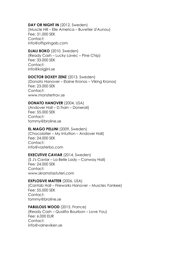# **DAY OR NIGHT IN** (2012, Sweden)

(Muscle Hill – Elle America – Buvetier d'Aunou) Fee: 31.000 SEK Contact: info@offspringab.com

# **DJALI BOKO** (2010, Sweden)

(Ready Cash – Lucky Lavec – Pine Chip) Fee: 33.000 SEK Contact: info@kolgjini.se

#### **DOCTOR DOXEY ZENZ** (2013, Sweden)

(Donato Hanover – Elaine Kronos – Viking Kronos) Fee: 23.000 SEK Contact<sup>.</sup> www.monstertrav.se

#### **DONATO HANOVER** (2004, USA)

(Andover Hall – D.Train – Donerail) Fee: 55.000 SEK Contact: tommy@broline.se

#### **EL MAGO PELLINI** (2009, Sweden)

(Chocolatier – My Intuition – Andover Hall) Fee: 24.000 SEK Contact: info@vasterbo.com

# **EXECUTIVE CAVIAR** (2014, Sweden)

(S J's Caviar – La Belle Lady – Conway Hall) Fee: 24.000 SEK Contact: www.skramstastuteri.com

#### **EXPLOSIVE MATTER** (2006, USA)

(Cantab Hall – Fireworks Hanover – Muscles Yankee) Fee: 55.000 SEK Contact: tommy@broline.se

# **FABULOUS WOOD** (2015, France)

(Ready Cash – Qualita Bourbon – Love You) Fee: 6.000 EUR Contact: info@valneviken.se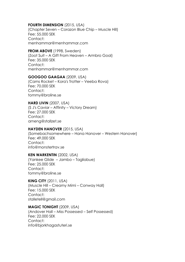#### **FOURTH DIMENSION** (2015, USA)

(Chapter Seven – Corazon Blue Chip – Muscle Hill) Fee: 55.000 SEK Contact: menhammar@menhammar.com

#### **FROM ABOVE** (1998, Sweden)

(Zoot Suit – A Gift From Heaven – Armbro Goal) Fee: 35.000 SEK Contact: menhammar@menhammar.com

#### **GOOGOO GAAGAA** (2009, USA)

(Cams Rocket – Kora's Trotter – Veeba Rova) Fee: 70.000 SEK Contact<sup>.</sup> tommy@broline.se

#### **HARD LIVIN** (2007, USA)

(S J's Caviar – Affinity – Victory Dream) Fee: 27.000 SEK Contact: arneng@stallzet.se

#### **HAYDEN HANOVER** (2015, USA)

(Somebachsomewhere – Hana Hanover – Western Hanover) Fee: 49.000 SEK Contact: info@monstertrav.se

#### **KEN WARKENTIN** (2002, USA)

(Yankee Glide – Jambo – Tagliabue) Fee: 25.000 SEK Contact: tommy@broline.se

#### **KING CITY** (2011, USA)

(Muscle Hill – Creamy Mimi – Conway Hall) Fee: 15.000 SEK Contact: stalletell@gmail.com

#### **MAGIC TONIGHT** (2009, USA)

(Andover Hall – Miss Possessed – Self Possessed) Fee: 22.000 SEK Contact: info@bjorkhagastuteri.se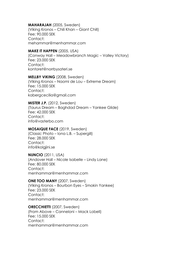# **MAHARAJAH** (2005, Sweden)

(Viking Kronos – Chili Khan – Giant Chill) Fee: 90.000 SEK Contact: mehammar@menhammar.com

#### **MAKE IT HAPPEN** (2005, USA)

(Conway Hall – Meadowbranch Magic – Valley Victory) Fee: 23.000 SEK Contact: kontoret@norrbysateri.se

#### **MELLBY VIKING** (2008, Sweden)

(Viking Kronos – Naomi de Lou – Extreme Dream) Fee: 15.000 SEK Contact<sup>.</sup> kabergcecilia@gmail.com

#### **MISTER J.P.** (2012, Sweden)

(Taurus Dream – Baghdad Dream – Yankee Glide) Fee: 42.000 SEK Contact: info@vasterbo.com

# **MOSAIQUE FACE** (2019, Sweden)

(Classic Photo – Iona L.B. – Supergill) Fee: 28.000 SEK Contact: info@kolgjini.se

# **NUNCIO** (2011, USA)

(Andover Hall – Nicole Isabelle – Lindy Lane) Fee: 80.000 SEK Contact: menhammar@menhammar.com

# **ONE TOO MANY** (2007, Sweden)

(Viking Kronos – Bourbon Eyes – Smokin Yankee) Fee: 23.000 SEK Contact: menhammar@menhammar.com

#### **ORECCHIETTI** (2007, Sweden) (From Above – Canneloni – Mack Lobell) Fee: 15.000 SEK Contact: menhammar@menhammar.com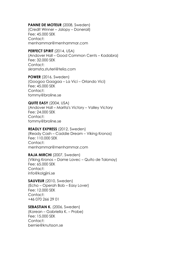# **PANNE DE MOTEUR** (2008, Sweden)

(Credit Winner – Jalopy – Donerail) Fee: 45.000 SEK Contact: menhammar@menhammar.com

# **PERFECT SPIRIT** (2014, USA)

(Andover Hall – Good Common Cents – Kadabra) Fee: 32.000 SEK Contact: skramsta.stuteri@telia.com

**POWER** (2016, Sweden) (Googoo Gaagaa – La Vici – Orlando Vici) Fee: 45.000 SEK Contact: tommy@broline.se

#### **QUITE EASY** (2004, USA)

(Andover Hall – Marita's Victory – Valley Victory Fee: 24.000 SEK Contact: tommy@broline.se

#### **READLY EXPRESS** (2012, Sweden)

(Ready Cash – Caddie Dream – Viking Kronos) Fee: 110.000 SEK Contact: menhammar@menhammar.com

# **RAJA MIRCHI** (2007, Sweden)

(Viking Kronos – Dame Lavec – Quito de Talonay) Fee: 65.000 SEK Contact: info@kolgjini.se

# **SAUVEUR** (2010, Sweden) (Echo – Operah Bob – Easy Lover) Fee: 12.000 SEK Contact: +46 070 266 29 01

#### SEBASTIAN K. (2006, Sweden) (Korean – Gabriella K. – Probe)

Fee: 15.000 SEK Contact: bernie@knutsson.se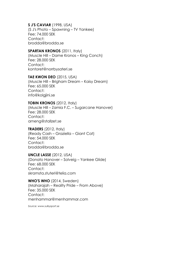# **S J'S CAVIAR** (1998, USA)

(S J's Photo – Spawning – TV Yankee) Fee: 74.000 SEK Contact: brodda@brodda.se

# **SPARTAN KRONOS** (2011, Italy)

(Muscle Hill – Dame Kronos – King Conch) Fee: 28.000 SEK Contact: kontoret@norrbysateri.se

#### **TAE KWON DEO** (2015, USA)

(Muscle Hill – Brigham Dream – Kaisy Dream) Fee: 65.000 SEK Contact: info@kolgjini.se

#### **TOBIN KRONOS** (2012, Italy)

(Muscle Hill – Zamia F.C. – Sugarcane Hanover) Fee: 28.000 SEK Contact: arneng@stallzet.se

#### **TRADERS** (2012, Italy)

(Ready Cash – Graziella – Giant Cat) Fee: 54.000 SEK Contact: brodda@brodda.se

# **UNCLE LASSE** (2012, USA)

(Donato Hanover – Solveig – Yankee Glide) Fee: 68.000 SEK Contact: skramsta.stuteri@telia.com

# **WHO'S WHO** (2014, Sweden)

(Maharajah – Reality Pride – From Above) Fee: 35.000 SEK Contact: menhammar@menhammar.com

*Source: www.sulkysport.se*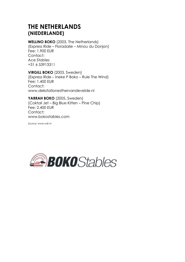# **THE NETHERLANDS (NIEDERLANDE)**

# **WELLINO BOKO** (2003, The Netherlands) (Express Ride – Floradalie – Minou du Donjon) Fee: 1.900 EUR Contact: Ace Stables +31 6 53913311

**VIRGILL BOKO** (2003, Sweden) (Express Ride – Ineke P Boko – Rule The Wind) Fee: 1.400 EUR Contact: www.dekstationesthervandevelde.nl

**YARRAH BOKO** (2005, Sweden) (Coktail Jet – Big Blue Kitten – Pine Chip) Fee: 2.400 EUR Contact: www.bokostables.com

*Source: www.ndr.nl*

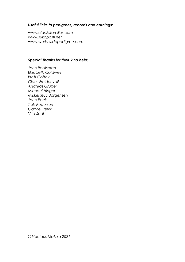# *Useful links to pedigrees, records and earnings:*

*www.classicfamilies.com www.sukoposti.net www.worldwidepedigree.com*

# *Special Thanks for their kind help:*

*John Bootsman Elizabeth Caldwell Brett Coffey Claes Freidenvall Andreas Gruber Michael Hinger Mikkel Stub Jorgensen John Peck Truls Pederson Gabriel Petrik Vito Sadl*